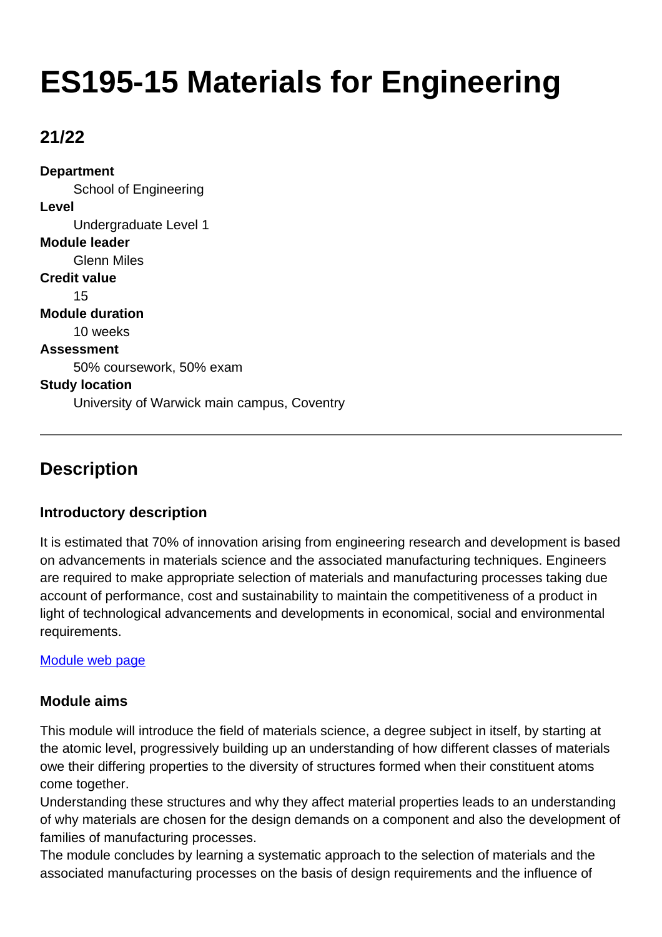# **ES195-15 Materials for Engineering**

## **21/22**

**Department** School of Engineering **Level** Undergraduate Level 1 **Module leader** Glenn Miles **Credit value** 15 **Module duration** 10 weeks **Assessment** 50% coursework, 50% exam **Study location** University of Warwick main campus, Coventry

## **Description**

## **Introductory description**

It is estimated that 70% of innovation arising from engineering research and development is based on advancements in materials science and the associated manufacturing techniques. Engineers are required to make appropriate selection of materials and manufacturing processes taking due account of performance, cost and sustainability to maintain the competitiveness of a product in light of technological advancements and developments in economical, social and environmental requirements.

#### [Module web page](http://www2.warwick.ac.uk/fac/sci/eng/eso/modules/year1)

#### **Module aims**

This module will introduce the field of materials science, a degree subject in itself, by starting at the atomic level, progressively building up an understanding of how different classes of materials owe their differing properties to the diversity of structures formed when their constituent atoms come together.

Understanding these structures and why they affect material properties leads to an understanding of why materials are chosen for the design demands on a component and also the development of families of manufacturing processes.

The module concludes by learning a systematic approach to the selection of materials and the associated manufacturing processes on the basis of design requirements and the influence of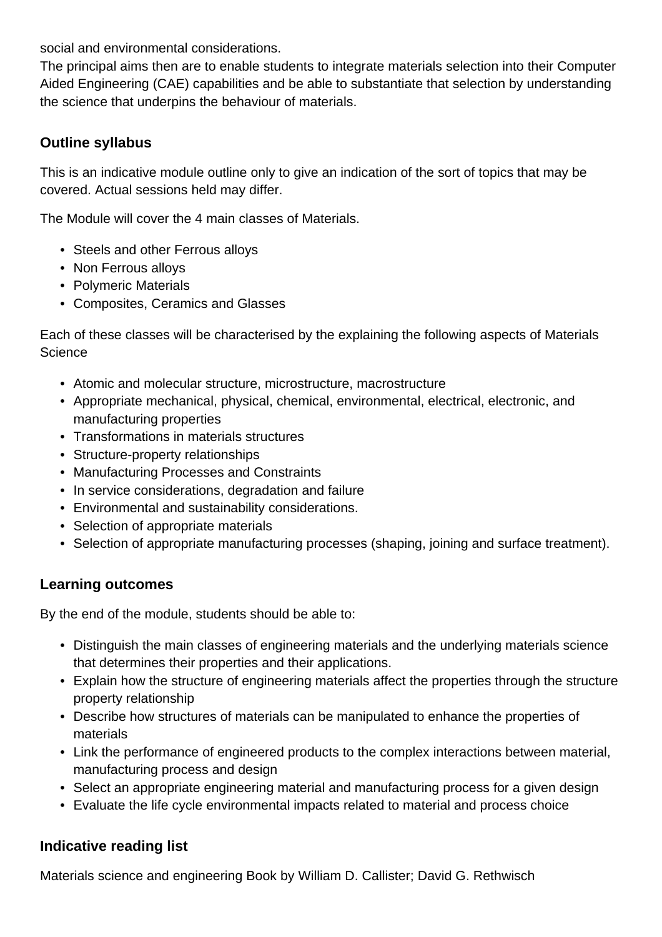social and environmental considerations.

The principal aims then are to enable students to integrate materials selection into their Computer Aided Engineering (CAE) capabilities and be able to substantiate that selection by understanding the science that underpins the behaviour of materials.

## **Outline syllabus**

This is an indicative module outline only to give an indication of the sort of topics that may be covered. Actual sessions held may differ.

The Module will cover the 4 main classes of Materials.

- Steels and other Ferrous alloys
- Non Ferrous alloys
- Polymeric Materials
- Composites, Ceramics and Glasses

Each of these classes will be characterised by the explaining the following aspects of Materials **Science** 

- Atomic and molecular structure, microstructure, macrostructure
- Appropriate mechanical, physical, chemical, environmental, electrical, electronic, and manufacturing properties
- Transformations in materials structures
- Structure-property relationships
- Manufacturing Processes and Constraints
- In service considerations, degradation and failure
- Environmental and sustainability considerations.
- Selection of appropriate materials
- Selection of appropriate manufacturing processes (shaping, joining and surface treatment).

## **Learning outcomes**

By the end of the module, students should be able to:

- Distinguish the main classes of engineering materials and the underlying materials science that determines their properties and their applications.
- Explain how the structure of engineering materials affect the properties through the structure property relationship
- Describe how structures of materials can be manipulated to enhance the properties of materials
- Link the performance of engineered products to the complex interactions between material, manufacturing process and design
- Select an appropriate engineering material and manufacturing process for a given design
- Evaluate the life cycle environmental impacts related to material and process choice

## **Indicative reading list**

Materials science and engineering Book by William D. Callister; David G. Rethwisch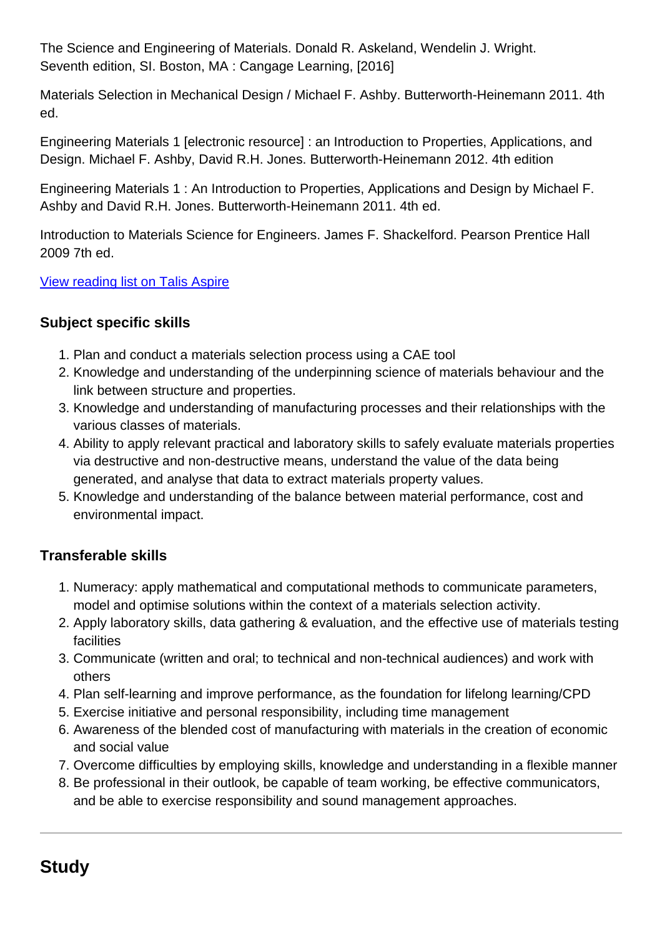The Science and Engineering of Materials. Donald R. Askeland, Wendelin J. Wright. Seventh edition, SI. Boston, MA : Cangage Learning, [2016]

Materials Selection in Mechanical Design / Michael F. Ashby. Butterworth-Heinemann 2011. 4th ed.

Engineering Materials 1 [electronic resource] : an Introduction to Properties, Applications, and Design. Michael F. Ashby, David R.H. Jones. Butterworth-Heinemann 2012. 4th edition

Engineering Materials 1 : An Introduction to Properties, Applications and Design by Michael F. Ashby and David R.H. Jones. Butterworth-Heinemann 2011. 4th ed.

Introduction to Materials Science for Engineers. James F. Shackelford. Pearson Prentice Hall 2009 7th ed.

[View reading list on Talis Aspire](https://rl.talis.com/3/warwick/lists/531D385C-4742-A9D5-2CED-6C9FD2ABF85B.html)

## **Subject specific skills**

- 1. Plan and conduct a materials selection process using a CAE tool
- 2. Knowledge and understanding of the underpinning science of materials behaviour and the link between structure and properties.
- 3. Knowledge and understanding of manufacturing processes and their relationships with the various classes of materials.
- 4. Ability to apply relevant practical and laboratory skills to safely evaluate materials properties via destructive and non-destructive means, understand the value of the data being generated, and analyse that data to extract materials property values.
- 5. Knowledge and understanding of the balance between material performance, cost and environmental impact.

## **Transferable skills**

- 1. Numeracy: apply mathematical and computational methods to communicate parameters, model and optimise solutions within the context of a materials selection activity.
- 2. Apply laboratory skills, data gathering & evaluation, and the effective use of materials testing facilities
- 3. Communicate (written and oral; to technical and non-technical audiences) and work with others
- 4. Plan self-learning and improve performance, as the foundation for lifelong learning/CPD
- 5. Exercise initiative and personal responsibility, including time management
- 6. Awareness of the blended cost of manufacturing with materials in the creation of economic and social value
- 7. Overcome difficulties by employing skills, knowledge and understanding in a flexible manner
- 8. Be professional in their outlook, be capable of team working, be effective communicators, and be able to exercise responsibility and sound management approaches.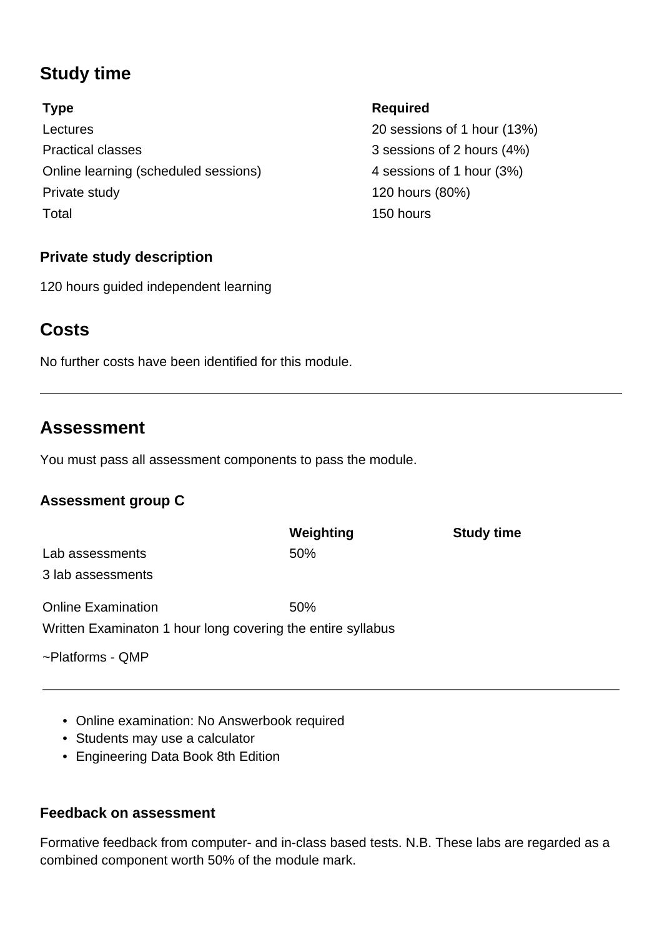## **Study time**

Lectures 20 sessions of 1 hour (13%) Practical classes 3 sessions of 2 hours (4%) Online learning (scheduled sessions) 4 sessions of 1 hour (3%) Private study 120 hours (80%) Total 150 hours

## **Private study description**

120 hours guided independent learning

## **Costs**

No further costs have been identified for this module.

## **Assessment**

You must pass all assessment components to pass the module.

## **Assessment group C**

|                                                             | Weighting | <b>Study time</b> |
|-------------------------------------------------------------|-----------|-------------------|
| Lab assessments                                             | 50%       |                   |
| 3 lab assessments                                           |           |                   |
| <b>Online Examination</b>                                   | 50%       |                   |
| Written Examinaton 1 hour long covering the entire syllabus |           |                   |
| ~Platforms - QMP                                            |           |                   |

- Online examination: No Answerbook required
- Students may use a calculator
- Engineering Data Book 8th Edition

#### **Feedback on assessment**

Formative feedback from computer- and in-class based tests. N.B. These labs are regarded as a combined component worth 50% of the module mark.

## **Type Required**